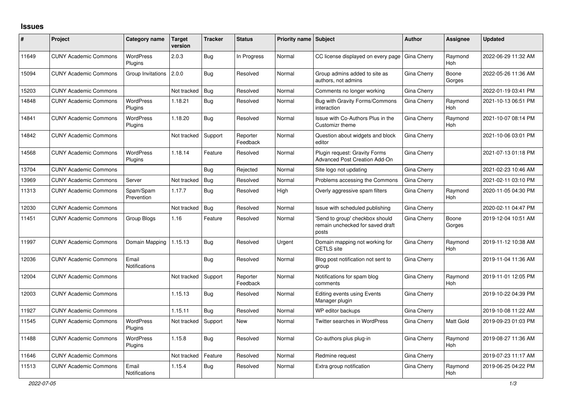## **Issues**

| #     | Project                      | Category name                 | <b>Target</b><br>version | <b>Tracker</b> | <b>Status</b>        | <b>Priority name   Subject</b> |                                                                             | <b>Author</b> | Assignee              | <b>Updated</b>      |
|-------|------------------------------|-------------------------------|--------------------------|----------------|----------------------|--------------------------------|-----------------------------------------------------------------------------|---------------|-----------------------|---------------------|
| 11649 | <b>CUNY Academic Commons</b> | <b>WordPress</b><br>Plugins   | 2.0.3                    | Bug            | In Progress          | Normal                         | CC license displayed on every page                                          | Gina Cherry   | Raymond<br><b>Hoh</b> | 2022-06-29 11:32 AM |
| 15094 | <b>CUNY Academic Commons</b> | Group Invitations             | 2.0.0                    | Bug            | Resolved             | Normal                         | Group admins added to site as<br>authors, not admins                        | Gina Cherry   | Boone<br>Gorges       | 2022-05-26 11:36 AM |
| 15203 | <b>CUNY Academic Commons</b> |                               | Not tracked              | <b>Bug</b>     | Resolved             | Normal                         | Comments no longer working                                                  | Gina Cherry   |                       | 2022-01-19 03:41 PM |
| 14848 | <b>CUNY Academic Commons</b> | <b>WordPress</b><br>Plugins   | 1.18.21                  | <b>Bug</b>     | Resolved             | Normal                         | <b>Bug with Gravity Forms/Commons</b><br>interaction                        | Gina Cherry   | Raymond<br>Hoh        | 2021-10-13 06:51 PM |
| 14841 | <b>CUNY Academic Commons</b> | <b>WordPress</b><br>Plugins   | 1.18.20                  | <b>Bug</b>     | Resolved             | Normal                         | Issue with Co-Authors Plus in the<br>Customizr theme                        | Gina Cherry   | Raymond<br><b>Hoh</b> | 2021-10-07 08:14 PM |
| 14842 | <b>CUNY Academic Commons</b> |                               | Not tracked              | Support        | Reporter<br>Feedback | Normal                         | Question about widgets and block<br>editor                                  | Gina Cherry   |                       | 2021-10-06 03:01 PM |
| 14568 | <b>CUNY Academic Commons</b> | <b>WordPress</b><br>Plugins   | 1.18.14                  | Feature        | Resolved             | Normal                         | Plugin request: Gravity Forms<br>Advanced Post Creation Add-On              | Gina Cherry   |                       | 2021-07-13 01:18 PM |
| 13704 | <b>CUNY Academic Commons</b> |                               |                          | Bug            | Rejected             | Normal                         | Site logo not updating                                                      | Gina Cherry   |                       | 2021-02-23 10:46 AM |
| 13969 | <b>CUNY Academic Commons</b> | Server                        | Not tracked              | Bug            | Resolved             | Normal                         | Problems accessing the Commons                                              | Gina Cherry   |                       | 2021-02-11 03:10 PM |
| 11313 | <b>CUNY Academic Commons</b> | Spam/Spam<br>Prevention       | 1.17.7                   | Bug            | Resolved             | High                           | Overly aggressive spam filters                                              | Gina Cherry   | Raymond<br><b>Hoh</b> | 2020-11-05 04:30 PM |
| 12030 | <b>CUNY Academic Commons</b> |                               | Not tracked              | Bug            | Resolved             | Normal                         | Issue with scheduled publishing                                             | Gina Cherry   |                       | 2020-02-11 04:47 PM |
| 11451 | <b>CUNY Academic Commons</b> | Group Blogs                   | 1.16                     | Feature        | Resolved             | Normal                         | Send to group' checkbox should<br>remain unchecked for saved draft<br>posts | Gina Cherry   | Boone<br>Gorges       | 2019-12-04 10:51 AM |
| 11997 | <b>CUNY Academic Commons</b> | Domain Mapping                | 1.15.13                  | <b>Bug</b>     | Resolved             | Urgent                         | Domain mapping not working for<br><b>CETLS</b> site                         | Gina Cherry   | Raymond<br><b>Hoh</b> | 2019-11-12 10:38 AM |
| 12036 | <b>CUNY Academic Commons</b> | Email<br><b>Notifications</b> |                          | Bug            | Resolved             | Normal                         | Blog post notification not sent to<br>group                                 | Gina Cherry   |                       | 2019-11-04 11:36 AM |
| 12004 | <b>CUNY Academic Commons</b> |                               | Not tracked              | Support        | Reporter<br>Feedback | Normal                         | Notifications for spam blog<br>comments                                     | Gina Cherry   | Raymond<br><b>Hoh</b> | 2019-11-01 12:05 PM |
| 12003 | <b>CUNY Academic Commons</b> |                               | 1.15.13                  | Bug            | Resolved             | Normal                         | <b>Editing events using Events</b><br>Manager plugin                        | Gina Cherry   |                       | 2019-10-22 04:39 PM |
| 11927 | <b>CUNY Academic Commons</b> |                               | 1.15.11                  | <b>Bug</b>     | Resolved             | Normal                         | WP editor backups                                                           | Gina Cherry   |                       | 2019-10-08 11:22 AM |
| 11545 | <b>CUNY Academic Commons</b> | <b>WordPress</b><br>Plugins   | Not tracked              | Support        | <b>New</b>           | Normal                         | Twitter searches in WordPress                                               | Gina Cherry   | <b>Matt Gold</b>      | 2019-09-23 01:03 PM |
| 11488 | <b>CUNY Academic Commons</b> | <b>WordPress</b><br>Plugins   | 1.15.8                   | <b>Bug</b>     | Resolved             | Normal                         | Co-authors plus plug-in                                                     | Gina Cherry   | Raymond<br><b>Hoh</b> | 2019-08-27 11:36 AM |
| 11646 | <b>CUNY Academic Commons</b> |                               | Not tracked              | Feature        | Resolved             | Normal                         | Redmine request                                                             | Gina Cherry   |                       | 2019-07-23 11:17 AM |
| 11513 | <b>CUNY Academic Commons</b> | Email<br><b>Notifications</b> | 1.15.4                   | <b>Bug</b>     | Resolved             | Normal                         | Extra group notification                                                    | Gina Cherry   | Raymond<br>Hoh        | 2019-06-25 04:22 PM |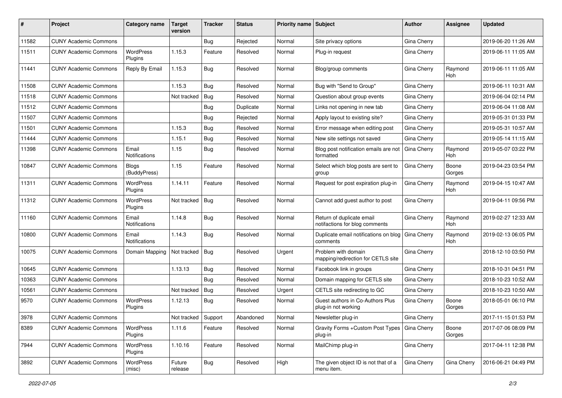| #     | Project                      | Category name                 | Target<br>version | <b>Tracker</b> | <b>Status</b> | Priority name Subject |                                                             | <b>Author</b> | Assignee              | <b>Updated</b>      |
|-------|------------------------------|-------------------------------|-------------------|----------------|---------------|-----------------------|-------------------------------------------------------------|---------------|-----------------------|---------------------|
| 11582 | <b>CUNY Academic Commons</b> |                               |                   | <b>Bug</b>     | Rejected      | Normal                | Site privacy options                                        | Gina Cherry   |                       | 2019-06-20 11:26 AM |
| 11511 | <b>CUNY Academic Commons</b> | <b>WordPress</b><br>Plugins   | 1.15.3            | Feature        | Resolved      | Normal                | Plug-in request                                             | Gina Cherry   |                       | 2019-06-11 11:05 AM |
| 11441 | <b>CUNY Academic Commons</b> | Reply By Email                | 1.15.3            | Bug            | Resolved      | Normal                | Blog/group comments                                         | Gina Cherry   | Raymond<br><b>Hoh</b> | 2019-06-11 11:05 AM |
| 11508 | <b>CUNY Academic Commons</b> |                               | 1.15.3            | Bug            | Resolved      | Normal                | Bug with "Send to Group"                                    | Gina Cherry   |                       | 2019-06-11 10:31 AM |
| 11518 | <b>CUNY Academic Commons</b> |                               | Not tracked       | Bug            | Resolved      | Normal                | Question about group events                                 | Gina Cherry   |                       | 2019-06-04 02:14 PM |
| 11512 | <b>CUNY Academic Commons</b> |                               |                   | <b>Bug</b>     | Duplicate     | Normal                | Links not opening in new tab                                | Gina Cherry   |                       | 2019-06-04 11:08 AM |
| 11507 | <b>CUNY Academic Commons</b> |                               |                   | <b>Bug</b>     | Rejected      | Normal                | Apply layout to existing site?                              | Gina Cherry   |                       | 2019-05-31 01:33 PM |
| 11501 | <b>CUNY Academic Commons</b> |                               | 1.15.3            | <b>Bug</b>     | Resolved      | Normal                | Error message when editing post                             | Gina Cherry   |                       | 2019-05-31 10:57 AM |
| 11444 | <b>CUNY Academic Commons</b> |                               | 1.15.1            | <b>Bug</b>     | Resolved      | Normal                | New site settings not saved                                 | Gina Cherry   |                       | 2019-05-14 11:15 AM |
| 11398 | <b>CUNY Academic Commons</b> | Email<br><b>Notifications</b> | 1.15              | Bug            | Resolved      | Normal                | Blog post notification emails are not<br>formatted          | Gina Cherry   | Raymond<br><b>Hoh</b> | 2019-05-07 03:22 PM |
| 10847 | <b>CUNY Academic Commons</b> | <b>Blogs</b><br>(BuddyPress)  | 1.15              | Feature        | Resolved      | Normal                | Select which blog posts are sent to<br>group                | Gina Cherry   | Boone<br>Gorges       | 2019-04-23 03:54 PM |
| 11311 | <b>CUNY Academic Commons</b> | WordPress<br>Plugins          | 1.14.11           | Feature        | Resolved      | Normal                | Request for post expiration plug-in                         | Gina Cherry   | Raymond<br>Hoh        | 2019-04-15 10:47 AM |
| 11312 | <b>CUNY Academic Commons</b> | <b>WordPress</b><br>Plugins   | Not tracked       | Bug            | Resolved      | Normal                | Cannot add guest author to post                             | Gina Cherry   |                       | 2019-04-11 09:56 PM |
| 11160 | <b>CUNY Academic Commons</b> | Email<br>Notifications        | 1.14.8            | Bug            | Resolved      | Normal                | Return of duplicate email<br>notifactions for blog comments | Gina Cherry   | Raymond<br><b>Hoh</b> | 2019-02-27 12:33 AM |
| 10800 | <b>CUNY Academic Commons</b> | Email<br>Notifications        | 1.14.3            | Bug            | Resolved      | Normal                | Duplicate email notifications on blog<br>comments           | Gina Cherry   | Raymond<br>Hoh        | 2019-02-13 06:05 PM |
| 10075 | <b>CUNY Academic Commons</b> | Domain Mapping                | Not tracked       | Bug            | Resolved      | Urgent                | Problem with domain<br>mapping/redirection for CETLS site   | Gina Cherry   |                       | 2018-12-10 03:50 PM |
| 10645 | <b>CUNY Academic Commons</b> |                               | 1.13.13           | Bug            | Resolved      | Normal                | Facebook link in groups                                     | Gina Cherry   |                       | 2018-10-31 04:51 PM |
| 10363 | <b>CUNY Academic Commons</b> |                               |                   | Bug            | Resolved      | Normal                | Domain mapping for CETLS site                               | Gina Cherry   |                       | 2018-10-23 10:52 AM |
| 10561 | <b>CUNY Academic Commons</b> |                               | Not tracked       | Bug            | Resolved      | Urgent                | CETLS site redirecting to GC                                | Gina Cherry   |                       | 2018-10-23 10:50 AM |
| 9570  | <b>CUNY Academic Commons</b> | <b>WordPress</b><br>Plugins   | 1.12.13           | Bug            | Resolved      | Normal                | Guest authors in Co-Authors Plus<br>plug-in not working     | Gina Cherry   | Boone<br>Gorges       | 2018-05-01 06:10 PM |
| 3978  | <b>CUNY Academic Commons</b> |                               | Not tracked       | Support        | Abandoned     | Normal                | Newsletter plug-in                                          | Gina Cherry   |                       | 2017-11-15 01:53 PM |
| 8389  | <b>CUNY Academic Commons</b> | <b>WordPress</b><br>Plugins   | 1.11.6            | Feature        | Resolved      | Normal                | Gravity Forms + Custom Post Types   Gina Cherry<br>plug-in  |               | Boone<br>Gorges       | 2017-07-06 08:09 PM |
| 7944  | <b>CUNY Academic Commons</b> | WordPress<br>Plugins          | 1.10.16           | Feature        | Resolved      | Normal                | MailChimp plug-in                                           | Gina Cherry   |                       | 2017-04-11 12:38 PM |
| 3892  | <b>CUNY Academic Commons</b> | WordPress<br>(misc)           | Future<br>release | <b>Bug</b>     | Resolved      | High                  | The given object ID is not that of a<br>menu item.          | Gina Cherry   | Gina Cherry           | 2016-06-21 04:49 PM |